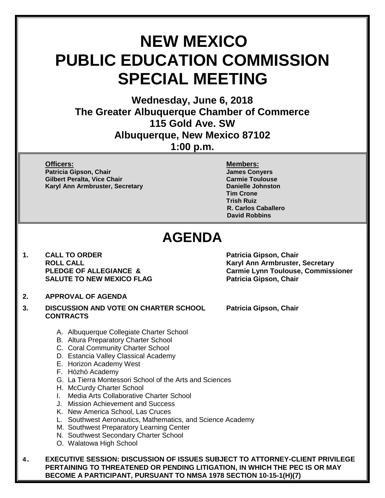# **NEW MEXICO PUBLIC EDUCATION COMMISSION SPECIAL MEETING**

**Wednesday, June 6, 2018 The Greater Albuquerque Chamber of Commerce 115 Gold Ave. SW Albuquerque, New Mexico 87102 1:00 p.m.**

**Officers: Members: Patricia Gipson, Chair James Conyers**

**Gilbert Peralta, Vice Chair Carmie Toulouse Karyl Ann Armbruster, Secretary <b>Danielle Johnston** 

**Tim Crone Trish Ruiz R. Carlos Caballero David Robbins**

# **AGENDA**

**1. CALL TO ORDER Patricia Gipson, Chair SALUTE TO NEW MEXICO FLAG** 

## **2. APPROVAL OF AGENDA**

- **3. DISCUSSION AND VOTE ON CHARTER SCHOOL Patricia Gipson, Chair CONTRACTS**
	- A. Albuquerque Collegiate Charter School
	- B. Altura Preparatory Charter School
	- C. Coral Community Charter School
	- D. Estancia Valley Classical Academy
	- E. Horizon Academy West
	- F. Hózhó Academy
	- G. La Tierra Montessori School of the Arts and Sciences
	- H. McCurdy Charter School
	- I. Media Arts Collaborative Charter School
	- J. Mission Achievement and Success
	- K. New America School, Las Cruces
	- L. Southwest Aeronautics, Mathematics, and Science Academy
	- M. Southwest Preparatory Learning Center
	- N. Southwest Secondary Charter School
	- O. Walatowa High School

**4. EXECUTIVE SESSION: DISCUSSION OF ISSUES SUBJECT TO ATTORNEY-CLIENT PRIVILEGE PERTAINING TO THREATENED OR PENDING LITIGATION, IN WHICH THE PEC IS OR MAY BECOME A PARTICIPANT, PURSUANT TO NMSA 1978 SECTION 10-15-1(H)(7)**

**ROLL CALL Karyl Ann Armbruster, Secretary PLEDGE OF ALLEGIANCE & Carmie Lynn Toulouse, Commissioner**